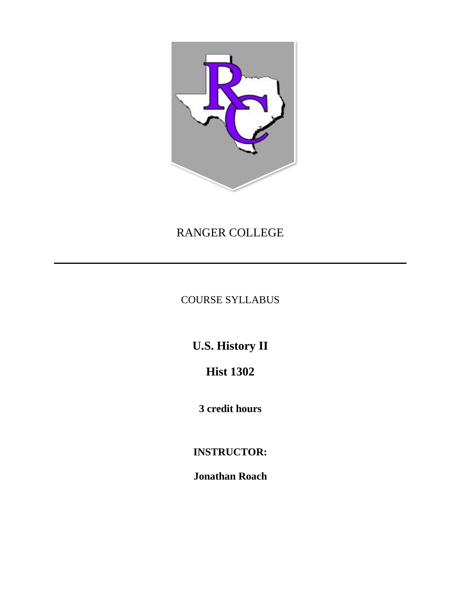

# RANGER COLLEGE

COURSE SYLLABUS

**U.S. History II**

**Hist 1302**

**3 credit hours**

**INSTRUCTOR:**

**Jonathan Roach**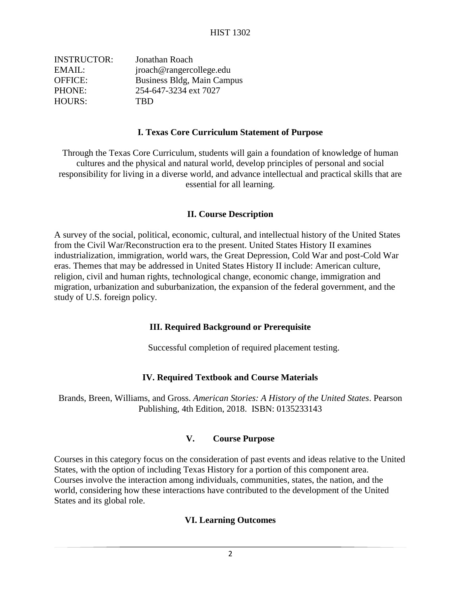| <b>INSTRUCTOR:</b> | Jonathan Roach             |
|--------------------|----------------------------|
| EMAIL:             | jroach@rangercollege.edu   |
| <b>OFFICE:</b>     | Business Bldg, Main Campus |
| PHONE:             | 254-647-3234 ext 7027      |
| <b>HOURS:</b>      | <b>TRD</b>                 |

#### **I. Texas Core Curriculum Statement of Purpose**

Through the Texas Core Curriculum, students will gain a foundation of knowledge of human cultures and the physical and natural world, develop principles of personal and social responsibility for living in a diverse world, and advance intellectual and practical skills that are essential for all learning.

#### **II. Course Description**

A survey of the social, political, economic, cultural, and intellectual history of the United States from the Civil War/Reconstruction era to the present. United States History II examines industrialization, immigration, world wars, the Great Depression, Cold War and post-Cold War eras. Themes that may be addressed in United States History II include: American culture, religion, civil and human rights, technological change, economic change, immigration and migration, urbanization and suburbanization, the expansion of the federal government, and the study of U.S. foreign policy.

## **III. Required Background or Prerequisite**

Successful completion of required placement testing.

## **IV. Required Textbook and Course Materials**

Brands, Breen, Williams, and Gross. *American Stories: A History of the United States*. Pearson Publishing, 4th Edition, 2018. ISBN: 0135233143

## **V. Course Purpose**

Courses in this category focus on the consideration of past events and ideas relative to the United States, with the option of including Texas History for a portion of this component area. Courses involve the interaction among individuals, communities, states, the nation, and the world, considering how these interactions have contributed to the development of the United States and its global role.

## **VI. Learning Outcomes**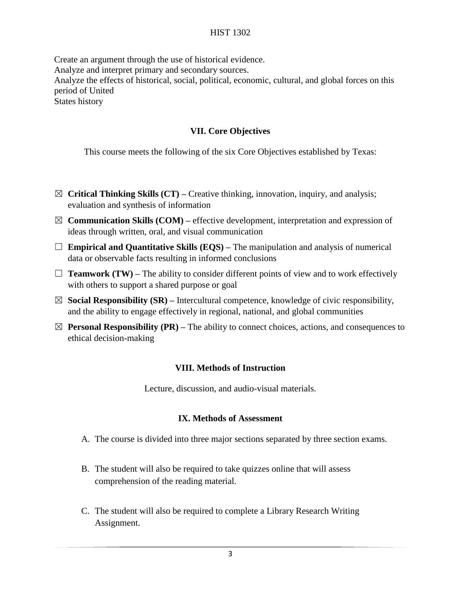Create an argument through the use of historical evidence. Analyze and interpret primary and secondary sources. Analyze the effects of historical, social, political, economic, cultural, and global forces on this period of United States history

#### **VII. Core Objectives**

This course meets the following of the six Core Objectives established by Texas:

- ☒ **Critical Thinking Skills (CT) –** Creative thinking, innovation, inquiry, and analysis; evaluation and synthesis of information
- $\boxtimes$  **Communication Skills (COM)** effective development, interpretation and expression of ideas through written, oral, and visual communication
- □ **Empirical and Quantitative Skills (EQS)** The manipulation and analysis of numerical data or observable facts resulting in informed conclusions
- $\Box$  **Teamwork (TW)** The ability to consider different points of view and to work effectively with others to support a shared purpose or goal
- $\boxtimes$  **Social Responsibility (SR)** Intercultural competence, knowledge of civic responsibility, and the ability to engage effectively in regional, national, and global communities
- $\boxtimes$  **Personal Responsibility (PR)** The ability to connect choices, actions, and consequences to ethical decision-making

#### **VIII. Methods of Instruction**

Lecture, discussion, and audio-visual materials.

#### **IX. Methods of Assessment**

- A. The course is divided into three major sections separated by three section exams.
- B. The student will also be required to take quizzes online that will assess comprehension of the reading material.
- C. The student will also be required to complete a Library Research Writing Assignment.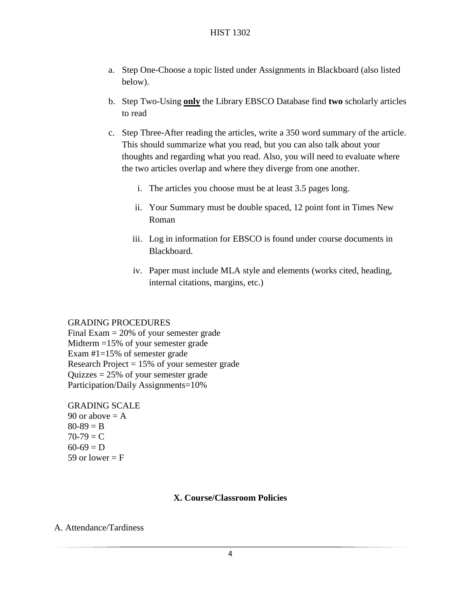- a. Step One-Choose a topic listed under Assignments in Blackboard (also listed below).
- b. Step Two-Using **only** the Library EBSCO Database find **two** scholarly articles to read
- c. Step Three-After reading the articles, write a 350 word summary of the article. This should summarize what you read, but you can also talk about your thoughts and regarding what you read. Also, you will need to evaluate where the two articles overlap and where they diverge from one another.
	- i. The articles you choose must be at least 3.5 pages long.
	- ii. Your Summary must be double spaced, 12 point font in Times New Roman
	- iii. Log in information for EBSCO is found under course documents in Blackboard.
	- iv. Paper must include MLA style and elements (works cited, heading, internal citations, margins, etc.)

#### GRADING PROCEDURES

Final Exam  $= 20\%$  of your semester grade Midterm =15% of your semester grade Exam #1=15% of semester grade Research Project  $= 15%$  of your semester grade Quizzes  $= 25\%$  of your semester grade Participation/Daily Assignments=10%

GRADING SCALE

90 or above  $= A$  $80 - 89 = B$  $70-79 = C$  $60-69 = D$ 59 or lower  $=$  F

## **X. Course/Classroom Policies**

## A. Attendance/Tardiness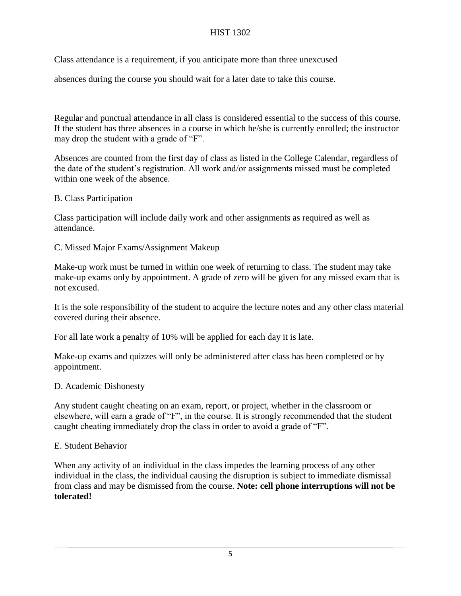Class attendance is a requirement, if you anticipate more than three unexcused

absences during the course you should wait for a later date to take this course.

Regular and punctual attendance in all class is considered essential to the success of this course. If the student has three absences in a course in which he/she is currently enrolled; the instructor may drop the student with a grade of "F".

Absences are counted from the first day of class as listed in the College Calendar, regardless of the date of the student's registration. All work and/or assignments missed must be completed within one week of the absence.

## B. Class Participation

Class participation will include daily work and other assignments as required as well as attendance.

## C. Missed Major Exams/Assignment Makeup

Make-up work must be turned in within one week of returning to class. The student may take make-up exams only by appointment. A grade of zero will be given for any missed exam that is not excused.

It is the sole responsibility of the student to acquire the lecture notes and any other class material covered during their absence.

For all late work a penalty of 10% will be applied for each day it is late.

Make-up exams and quizzes will only be administered after class has been completed or by appointment.

## D. Academic Dishonesty

Any student caught cheating on an exam, report, or project, whether in the classroom or elsewhere, will earn a grade of "F", in the course. It is strongly recommended that the student caught cheating immediately drop the class in order to avoid a grade of "F".

# E. Student Behavior

When any activity of an individual in the class impedes the learning process of any other individual in the class, the individual causing the disruption is subject to immediate dismissal from class and may be dismissed from the course. **Note: cell phone interruptions will not be tolerated!**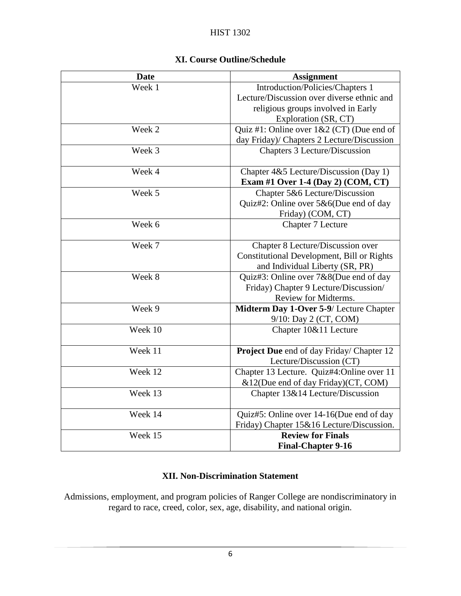| <b>Date</b> | <b>Assignment</b>                          |
|-------------|--------------------------------------------|
| Week 1      | Introduction/Policies/Chapters 1           |
|             | Lecture/Discussion over diverse ethnic and |
|             | religious groups involved in Early         |
|             | Exploration (SR, CT)                       |
| Week 2      | Quiz #1: Online over 1&2 (CT) (Due end of  |
|             | day Friday)/ Chapters 2 Lecture/Discussion |
| Week 3      | Chapters 3 Lecture/Discussion              |
|             |                                            |
| Week 4      | Chapter 4&5 Lecture/Discussion (Day 1)     |
|             | Exam #1 Over 1-4 (Day 2) (COM, CT)         |
| Week 5      | Chapter 5&6 Lecture/Discussion             |
|             | Quiz#2: Online over 5&6(Due end of day     |
|             | Friday) (COM, CT)                          |
| Week 6      | Chapter 7 Lecture                          |
|             |                                            |
| Week 7      | Chapter 8 Lecture/Discussion over          |
|             | Constitutional Development, Bill or Rights |
|             | and Individual Liberty (SR, PR)            |
| Week 8      | Quiz#3: Online over 7&8(Due end of day     |
|             | Friday) Chapter 9 Lecture/Discussion/      |
|             | Review for Midterms.                       |
| Week 9      | Midterm Day 1-Over 5-9/ Lecture Chapter    |
|             | 9/10: Day 2 (CT, COM)                      |
| Week 10     | Chapter 10&11 Lecture                      |
|             |                                            |
| Week 11     | Project Due end of day Friday/ Chapter 12  |
|             | Lecture/Discussion (CT)                    |
| Week 12     | Chapter 13 Lecture. Quiz#4:Online over 11  |
|             | &12(Due end of day Friday)(CT, COM)        |
| Week 13     | Chapter 13&14 Lecture/Discussion           |
|             |                                            |
| Week 14     | Quiz#5: Online over 14-16(Due end of day   |
|             | Friday) Chapter 15&16 Lecture/Discussion.  |
| Week 15     | <b>Review for Finals</b>                   |
|             | <b>Final-Chapter 9-16</b>                  |

# **XI. Course Outline/Schedule**

# **XII. Non-Discrimination Statement**

Admissions, employment, and program policies of Ranger College are nondiscriminatory in regard to race, creed, color, sex, age, disability, and national origin.